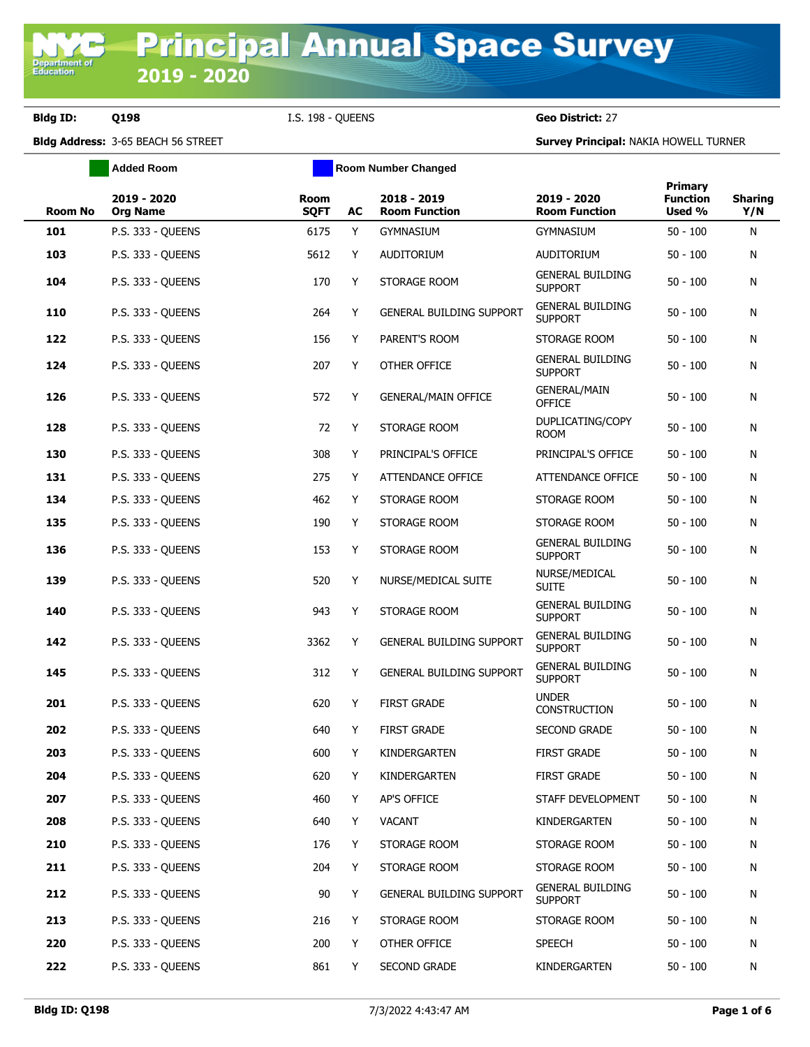Department of<br>Education

**Bldg ID: Q198** I.S. 198 - QUEENS **Geo District:** 27

|                | <b>Added Room</b>              |                            |    | <b>Room Number Changed</b>          |                                           |                                             |                       |
|----------------|--------------------------------|----------------------------|----|-------------------------------------|-------------------------------------------|---------------------------------------------|-----------------------|
| <b>Room No</b> | 2019 - 2020<br><b>Org Name</b> | <b>Room</b><br><b>SQFT</b> | AC | 2018 - 2019<br><b>Room Function</b> | 2019 - 2020<br><b>Room Function</b>       | <b>Primary</b><br><b>Function</b><br>Used % | <b>Sharing</b><br>Y/N |
| 101            | P.S. 333 - QUEENS              | 6175                       | Y  | <b>GYMNASIUM</b>                    | GYMNASIUM                                 | $50 - 100$                                  | N                     |
| 103            | P.S. 333 - QUEENS              | 5612                       | Y  | <b>AUDITORIUM</b>                   | AUDITORIUM                                | $50 - 100$                                  | N                     |
| 104            | P.S. 333 - QUEENS              | 170                        | Y  | STORAGE ROOM                        | <b>GENERAL BUILDING</b><br><b>SUPPORT</b> | $50 - 100$                                  | N                     |
| 110            | P.S. 333 - QUEENS              | 264                        | Y  | <b>GENERAL BUILDING SUPPORT</b>     | <b>GENERAL BUILDING</b><br><b>SUPPORT</b> | $50 - 100$                                  | N                     |
| 122            | P.S. 333 - QUEENS              | 156                        | Y  | PARENT'S ROOM                       | STORAGE ROOM                              | $50 - 100$                                  | N                     |
| 124            | P.S. 333 - QUEENS              | 207                        | Y  | OTHER OFFICE                        | <b>GENERAL BUILDING</b><br><b>SUPPORT</b> | $50 - 100$                                  | N                     |
| 126            | P.S. 333 - QUEENS              | 572                        | Y  | <b>GENERAL/MAIN OFFICE</b>          | <b>GENERAL/MAIN</b><br><b>OFFICE</b>      | $50 - 100$                                  | N                     |
| 128            | P.S. 333 - QUEENS              | 72                         | Y  | STORAGE ROOM                        | DUPLICATING/COPY<br><b>ROOM</b>           | $50 - 100$                                  | N                     |
| 130            | P.S. 333 - QUEENS              | 308                        | Y  | PRINCIPAL'S OFFICE                  | PRINCIPAL'S OFFICE                        | $50 - 100$                                  | N                     |
| 131            | P.S. 333 - QUEENS              | 275                        | Y  | ATTENDANCE OFFICE                   | ATTENDANCE OFFICE                         | $50 - 100$                                  | N                     |
| 134            | P.S. 333 - QUEENS              | 462                        | Y  | STORAGE ROOM                        | STORAGE ROOM                              | $50 - 100$                                  | N                     |
| 135            | P.S. 333 - QUEENS              | 190                        | Y  | STORAGE ROOM                        | STORAGE ROOM                              | $50 - 100$                                  | N                     |
| 136            | P.S. 333 - QUEENS              | 153                        | Y  | STORAGE ROOM                        | <b>GENERAL BUILDING</b><br><b>SUPPORT</b> | $50 - 100$                                  | N                     |
| 139            | P.S. 333 - QUEENS              | 520                        | Y  | NURSE/MEDICAL SUITE                 | NURSE/MEDICAL<br><b>SUITE</b>             | $50 - 100$                                  | N                     |
| 140            | P.S. 333 - QUEENS              | 943                        | Y  | STORAGE ROOM                        | <b>GENERAL BUILDING</b><br><b>SUPPORT</b> | $50 - 100$                                  | N                     |
| 142            | <b>P.S. 333 - QUEENS</b>       | 3362                       | Y  | GENERAL BUILDING SUPPORT            | <b>GENERAL BUILDING</b><br><b>SUPPORT</b> | $50 - 100$                                  | N                     |
| 145            | P.S. 333 - QUEENS              | 312                        | Y  | <b>GENERAL BUILDING SUPPORT</b>     | <b>GENERAL BUILDING</b><br><b>SUPPORT</b> | $50 - 100$                                  | N                     |
| 201            | P.S. 333 - OUEENS              | 620                        | Y  | FIRST GRADE                         | <b>UNDER</b><br><b>CONSTRUCTION</b>       | $50 - 100$                                  | N                     |
| 202            | P.S. 333 - QUEENS              | 640                        | Y  | <b>FIRST GRADE</b>                  | <b>SECOND GRADE</b>                       | $50 - 100$                                  | N                     |
| 203            | P.S. 333 - QUEENS              | 600                        | Y  | KINDERGARTEN                        | FIRST GRADE                               | $50 - 100$                                  | N                     |
| 204            | P.S. 333 - OUEENS              | 620                        | Y  | KINDERGARTEN                        | <b>FIRST GRADE</b>                        | $50 - 100$                                  | N                     |
| 207            | P.S. 333 - QUEENS              | 460                        | Y  | AP'S OFFICE                         | STAFF DEVELOPMENT                         | $50 - 100$                                  | N                     |
| 208            | P.S. 333 - QUEENS              | 640                        | Y. | <b>VACANT</b>                       | KINDERGARTEN                              | $50 - 100$                                  | N                     |
| 210            | P.S. 333 - QUEENS              | 176                        | Y  | STORAGE ROOM                        | STORAGE ROOM                              | $50 - 100$                                  | N                     |
| 211            | P.S. 333 - QUEENS              | 204                        | Y. | STORAGE ROOM                        | STORAGE ROOM                              | $50 - 100$                                  | N                     |
| 212            | P.S. 333 - OUEENS              | 90                         | Y  | GENERAL BUILDING SUPPORT            | <b>GENERAL BUILDING</b><br><b>SUPPORT</b> | $50 - 100$                                  | N                     |
| 213            | P.S. 333 - QUEENS              | 216                        | Y  | STORAGE ROOM                        | STORAGE ROOM                              | $50 - 100$                                  | N                     |
| 220            | <b>P.S. 333 - QUEENS</b>       | 200                        | Y  | OTHER OFFICE                        | <b>SPEECH</b>                             | $50 - 100$                                  | N                     |
| 222            | P.S. 333 - QUEENS              | 861                        | Y  | <b>SECOND GRADE</b>                 | KINDERGARTEN                              | $50 - 100$                                  | N                     |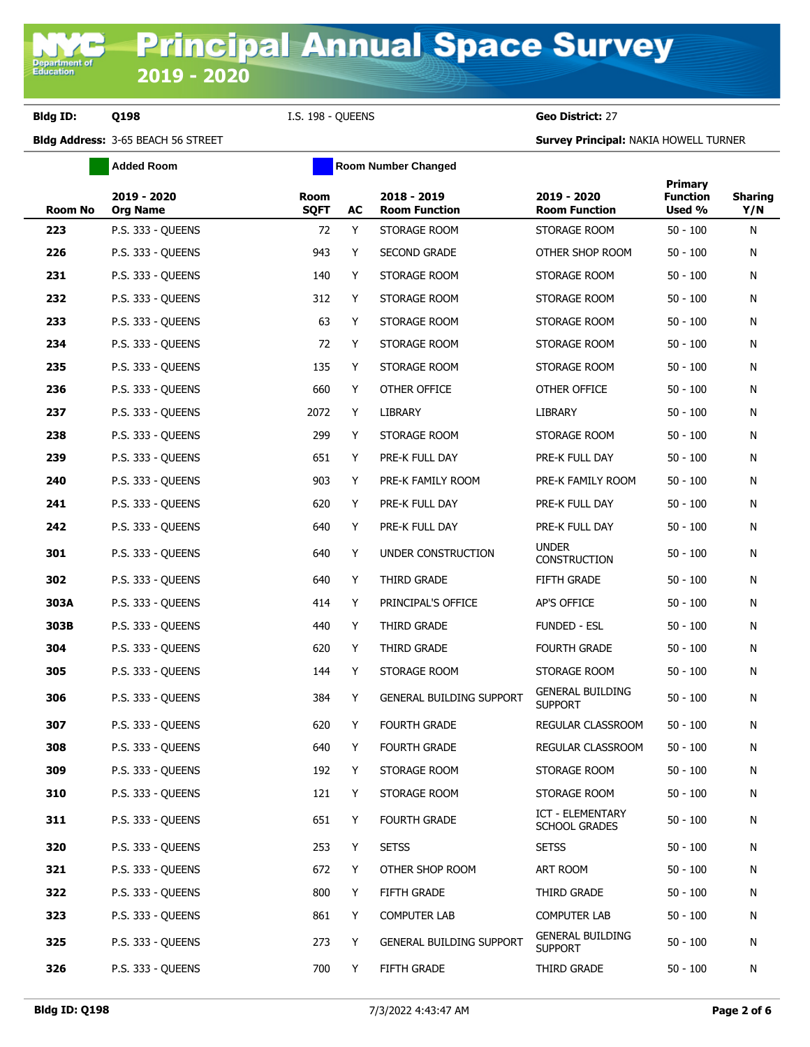**Bldg ID: Q198** I.S. 198 - QUEENS **Geo District:** 27

|         | <b>Added Room</b>              |                     | <b>Room Number Changed</b> |                                     |                                           |                                      |                       |
|---------|--------------------------------|---------------------|----------------------------|-------------------------------------|-------------------------------------------|--------------------------------------|-----------------------|
| Room No | 2019 - 2020<br><b>Org Name</b> | Room<br><b>SQFT</b> | AC                         | 2018 - 2019<br><b>Room Function</b> | 2019 - 2020<br><b>Room Function</b>       | Primary<br><b>Function</b><br>Used % | <b>Sharing</b><br>Y/N |
| 223     | <b>P.S. 333 - QUEENS</b>       | 72                  | Y                          | STORAGE ROOM                        | STORAGE ROOM                              | $50 - 100$                           | N                     |
| 226     | <b>P.S. 333 - QUEENS</b>       | 943                 | Y                          | SECOND GRADE                        | OTHER SHOP ROOM                           | $50 - 100$                           | N                     |
| 231     | <b>P.S. 333 - QUEENS</b>       | 140                 | Y                          | STORAGE ROOM                        | STORAGE ROOM                              | $50 - 100$                           | N                     |
| 232     | <b>P.S. 333 - QUEENS</b>       | 312                 | Y                          | STORAGE ROOM                        | STORAGE ROOM                              | $50 - 100$                           | N                     |
| 233     | <b>P.S. 333 - QUEENS</b>       | 63                  | Y                          | STORAGE ROOM                        | STORAGE ROOM                              | $50 - 100$                           | N                     |
| 234     | P.S. 333 - OUEENS              | 72                  | Y                          | STORAGE ROOM                        | STORAGE ROOM                              | $50 - 100$                           | N                     |
| 235     | <b>P.S. 333 - QUEENS</b>       | 135                 | Y                          | STORAGE ROOM                        | STORAGE ROOM                              | $50 - 100$                           | N                     |
| 236     | <b>P.S. 333 - QUEENS</b>       | 660                 | Y                          | OTHER OFFICE                        | OTHER OFFICE                              | $50 - 100$                           | N                     |
| 237     | <b>P.S. 333 - QUEENS</b>       | 2072                | Y                          | LIBRARY                             | LIBRARY                                   | $50 - 100$                           | N                     |
| 238     | P.S. 333 - OUEENS              | 299                 | Y                          | STORAGE ROOM                        | STORAGE ROOM                              | $50 - 100$                           | N                     |
| 239     | <b>P.S. 333 - QUEENS</b>       | 651                 | Y                          | PRE-K FULL DAY                      | PRE-K FULL DAY                            | $50 - 100$                           | N                     |
| 240     | <b>P.S. 333 - QUEENS</b>       | 903                 | Y                          | PRE-K FAMILY ROOM                   | PRE-K FAMILY ROOM                         | $50 - 100$                           | N                     |
| 241     | P.S. 333 - OUEENS              | 620                 | Y                          | PRE-K FULL DAY                      | PRE-K FULL DAY                            | $50 - 100$                           | N                     |
| 242     | <b>P.S. 333 - QUEENS</b>       | 640                 | Y                          | PRE-K FULL DAY                      | PRE-K FULL DAY                            | $50 - 100$                           | N                     |
| 301     | <b>P.S. 333 - QUEENS</b>       | 640                 | Y                          | UNDER CONSTRUCTION                  | <b>UNDER</b><br><b>CONSTRUCTION</b>       | $50 - 100$                           | N                     |
| 302     | <b>P.S. 333 - QUEENS</b>       | 640                 | Y                          | THIRD GRADE                         | FIFTH GRADE                               | $50 - 100$                           | N                     |
| 303A    | <b>P.S. 333 - QUEENS</b>       | 414                 | Y                          | PRINCIPAL'S OFFICE                  | AP'S OFFICE                               | $50 - 100$                           | N                     |
| 303B    | <b>P.S. 333 - QUEENS</b>       | 440                 | Y                          | THIRD GRADE                         | FUNDED - ESL                              | $50 - 100$                           | N                     |
| 304     | <b>P.S. 333 - QUEENS</b>       | 620                 | Y                          | THIRD GRADE                         | <b>FOURTH GRADE</b>                       | $50 - 100$                           | N                     |
| 305     | P.S. 333 - OUEENS              | 144                 | Y                          | STORAGE ROOM                        | STORAGE ROOM                              | $50 - 100$                           | N                     |
| 306     | <b>P.S. 333 - QUEENS</b>       | 384                 | Y                          | <b>GENERAL BUILDING SUPPORT</b>     | <b>GENERAL BUILDING</b><br><b>SUPPORT</b> | $50 - 100$                           | N                     |
| 307     | <b>P.S. 333 - QUEENS</b>       | 620                 | Y                          | <b>FOURTH GRADE</b>                 | REGULAR CLASSROOM                         | $50 - 100$                           | N                     |
| 308     | P.S. 333 - QUEENS              | 640                 | Y                          | <b>FOURTH GRADE</b>                 | REGULAR CLASSROOM                         | $50 - 100$                           | N                     |
| 309     | <b>P.S. 333 - QUEENS</b>       | 192                 | Y                          | STORAGE ROOM                        | STORAGE ROOM                              | $50 - 100$                           | N                     |
| 310     | P.S. 333 - QUEENS              | 121                 | Y                          | STORAGE ROOM                        | STORAGE ROOM                              | $50 - 100$                           | N                     |
| 311     | <b>P.S. 333 - QUEENS</b>       | 651                 | Y                          | FOURTH GRADE                        | ICT - ELEMENTARY<br><b>SCHOOL GRADES</b>  | $50 - 100$                           | N                     |
| 320     | P.S. 333 - OUEENS              | 253                 | Y                          | <b>SETSS</b>                        | <b>SETSS</b>                              | $50 - 100$                           | N                     |
| 321     | P.S. 333 - QUEENS              | 672                 | Y                          | OTHER SHOP ROOM                     | ART ROOM                                  | $50 - 100$                           | N                     |
| 322     | P.S. 333 - QUEENS              | 800                 | Y                          | FIFTH GRADE                         | THIRD GRADE                               | $50 - 100$                           | N                     |
| 323     | P.S. 333 - QUEENS              | 861                 | Y                          | <b>COMPUTER LAB</b>                 | <b>COMPUTER LAB</b>                       | $50 - 100$                           | N                     |
| 325     | P.S. 333 - QUEENS              | 273                 | Y                          | GENERAL BUILDING SUPPORT            | <b>GENERAL BUILDING</b><br><b>SUPPORT</b> | $50 - 100$                           | N                     |
| 326     | <b>P.S. 333 - QUEENS</b>       | 700                 | Y                          | FIFTH GRADE                         | THIRD GRADE                               | $50 - 100$                           | N                     |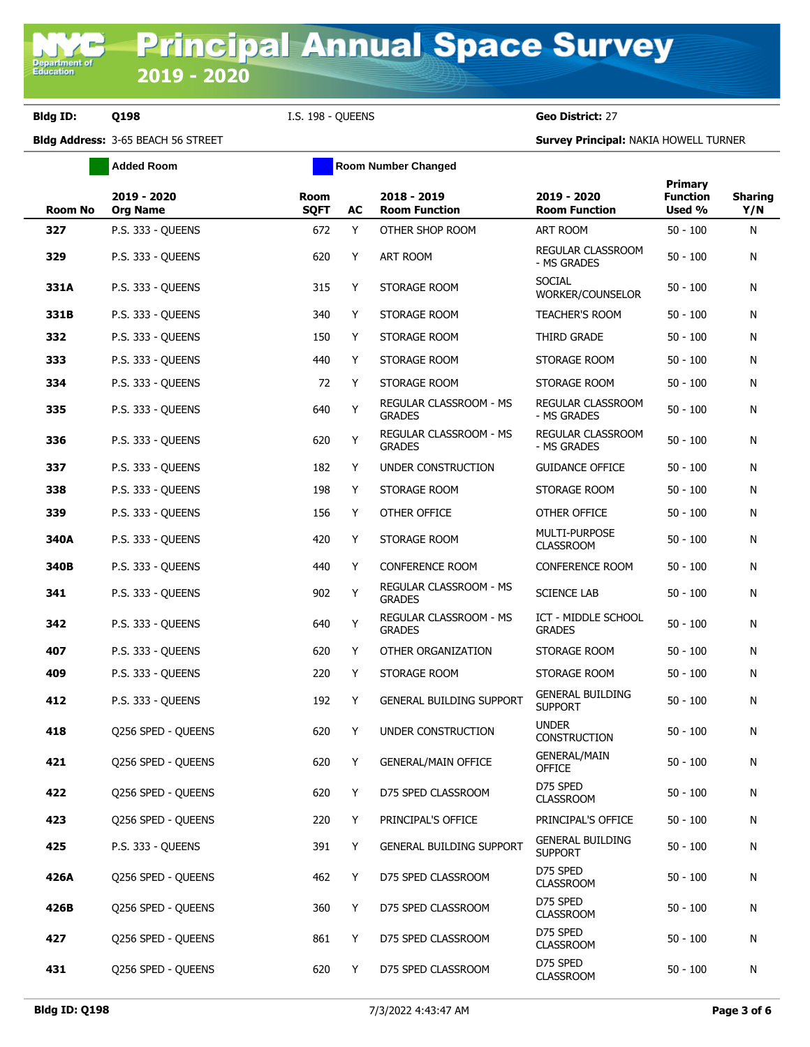**Bldg ID: Q198** I.S. 198 - QUEENS **Geo District:** 27

|                | <b>Added Room</b>              | <b>Room Number Changed</b> |    |                                         |                                           |                                             |                       |
|----------------|--------------------------------|----------------------------|----|-----------------------------------------|-------------------------------------------|---------------------------------------------|-----------------------|
| <b>Room No</b> | 2019 - 2020<br><b>Org Name</b> | Room<br><b>SQFT</b>        | AC | 2018 - 2019<br><b>Room Function</b>     | 2019 - 2020<br><b>Room Function</b>       | <b>Primary</b><br><b>Function</b><br>Used % | <b>Sharing</b><br>Y/N |
| 327            | <b>P.S. 333 - QUEENS</b>       | 672                        | Y  | OTHER SHOP ROOM                         | ART ROOM                                  | $50 - 100$                                  | N                     |
| 329            | P.S. 333 - QUEENS              | 620                        | Y  | <b>ART ROOM</b>                         | REGULAR CLASSROOM<br>- MS GRADES          | $50 - 100$                                  | N                     |
| 331A           | P.S. 333 - QUEENS              | 315                        | Y  | STORAGE ROOM                            | <b>SOCIAL</b><br>WORKER/COUNSELOR         | $50 - 100$                                  | N                     |
| 331B           | P.S. 333 - QUEENS              | 340                        | Y  | STORAGE ROOM                            | <b>TEACHER'S ROOM</b>                     | $50 - 100$                                  | N                     |
| 332            | P.S. 333 - QUEENS              | 150                        | Y  | STORAGE ROOM                            | THIRD GRADE                               | $50 - 100$                                  | N                     |
| 333            | P.S. 333 - QUEENS              | 440                        | Y  | STORAGE ROOM                            | STORAGE ROOM                              | $50 - 100$                                  | N                     |
| 334            | P.S. 333 - QUEENS              | 72                         | Y  | STORAGE ROOM                            | STORAGE ROOM                              | $50 - 100$                                  | N                     |
| 335            | P.S. 333 - QUEENS              | 640                        | Y  | REGULAR CLASSROOM - MS<br><b>GRADES</b> | REGULAR CLASSROOM<br>- MS GRADES          | $50 - 100$                                  | N                     |
| 336            | P.S. 333 - QUEENS              | 620                        | Y  | REGULAR CLASSROOM - MS<br><b>GRADES</b> | <b>REGULAR CLASSROOM</b><br>- MS GRADES   | $50 - 100$                                  | N                     |
| 337            | P.S. 333 - OUEENS              | 182                        | Y  | UNDER CONSTRUCTION                      | <b>GUIDANCE OFFICE</b>                    | $50 - 100$                                  | N                     |
| 338            | P.S. 333 - OUEENS              | 198                        | Y  | STORAGE ROOM                            | STORAGE ROOM                              | $50 - 100$                                  | N                     |
| 339            | P.S. 333 - QUEENS              | 156                        | Y  | OTHER OFFICE                            | OTHER OFFICE                              | $50 - 100$                                  | N                     |
| 340A           | P.S. 333 - QUEENS              | 420                        | Y  | STORAGE ROOM                            | MULTI-PURPOSE<br><b>CLASSROOM</b>         | $50 - 100$                                  | N                     |
| 340B           | <b>P.S. 333 - QUEENS</b>       | 440                        | Y  | <b>CONFERENCE ROOM</b>                  | <b>CONFERENCE ROOM</b>                    | $50 - 100$                                  | N                     |
| 341            | P.S. 333 - QUEENS              | 902                        | Y  | REGULAR CLASSROOM - MS<br><b>GRADES</b> | <b>SCIENCE LAB</b>                        | $50 - 100$                                  | N                     |
| 342            | P.S. 333 - QUEENS              | 640                        | Υ  | REGULAR CLASSROOM - MS<br><b>GRADES</b> | ICT - MIDDLE SCHOOL<br><b>GRADES</b>      | $50 - 100$                                  | N                     |
| 407            | P.S. 333 - QUEENS              | 620                        | Y  | OTHER ORGANIZATION                      | STORAGE ROOM                              | $50 - 100$                                  | N                     |
| 409            | P.S. 333 - QUEENS              | 220                        | Y  | STORAGE ROOM                            | STORAGE ROOM                              | $50 - 100$                                  | N                     |
| 412            | <b>P.S. 333 - QUEENS</b>       | 192                        | Y  | <b>GENERAL BUILDING SUPPORT</b>         | <b>GENERAL BUILDING</b><br><b>SUPPORT</b> | $50 - 100$                                  | N                     |
| 418            | Q256 SPED - QUEENS             | 620                        | Y  | UNDER CONSTRUCTION                      | <b>UNDER</b><br><b>CONSTRUCTION</b>       | $50 - 100$                                  | N                     |
| 421            | Q256 SPED - QUEENS             | 620                        | Y  | <b>GENERAL/MAIN OFFICE</b>              | <b>GENERAL/MAIN</b><br><b>OFFICE</b>      | $50 - 100$                                  | N                     |
| 422            | Q256 SPED - QUEENS             | 620                        | Y  | D75 SPED CLASSROOM                      | D75 SPED<br><b>CLASSROOM</b>              | $50 - 100$                                  | N                     |
| 423            | Q256 SPED - QUEENS             | 220                        | Y  | PRINCIPAL'S OFFICE                      | PRINCIPAL'S OFFICE                        | $50 - 100$                                  | N                     |
| 425            | P.S. 333 - QUEENS              | 391                        | Y  | GENERAL BUILDING SUPPORT                | <b>GENERAL BUILDING</b><br><b>SUPPORT</b> | $50 - 100$                                  | N                     |
| 426A           | Q256 SPED - QUEENS             | 462                        | Y  | D75 SPED CLASSROOM                      | D75 SPED<br><b>CLASSROOM</b>              | $50 - 100$                                  | N                     |
| 426B           | Q256 SPED - QUEENS             | 360                        | Y  | D75 SPED CLASSROOM                      | D75 SPED<br><b>CLASSROOM</b>              | $50 - 100$                                  | N                     |
| 427            | Q256 SPED - QUEENS             | 861                        | Y  | D75 SPED CLASSROOM                      | D75 SPED<br><b>CLASSROOM</b>              | $50 - 100$                                  | N                     |
| 431            | Q256 SPED - QUEENS             | 620                        | Y  | D75 SPED CLASSROOM                      | D75 SPED<br><b>CLASSROOM</b>              | $50 - 100$                                  | N                     |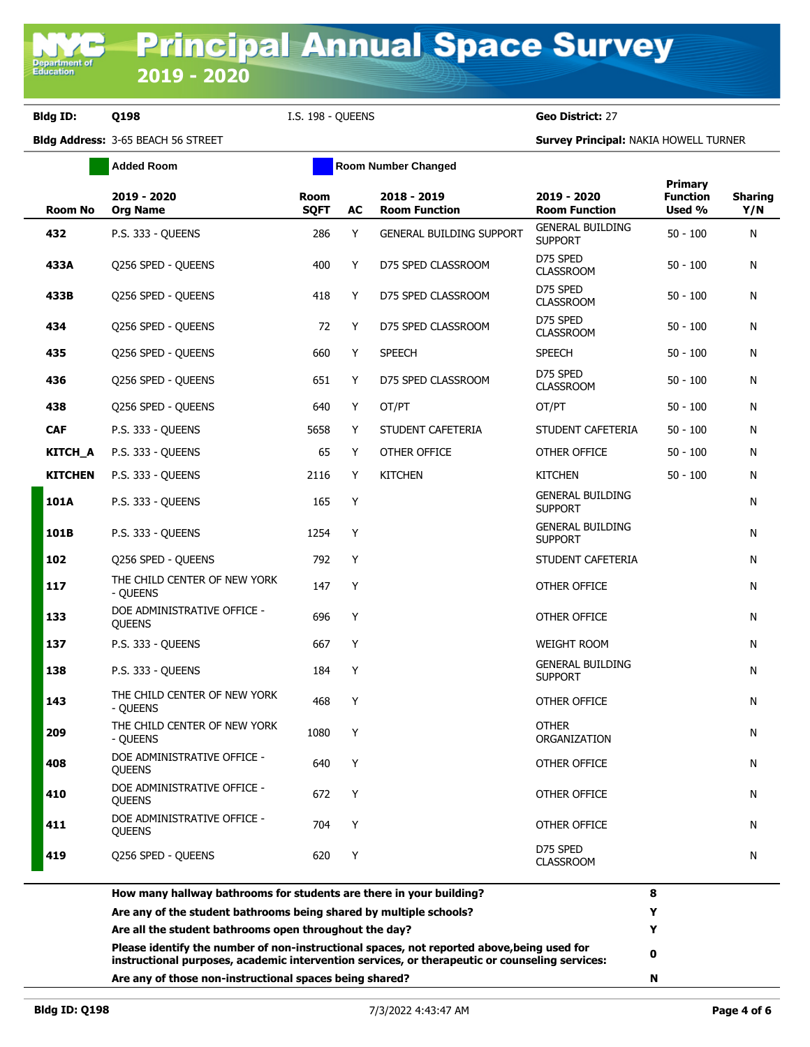**Bldg ID: Q198** I.S. 198 - QUEENS **Geo District:** 27

| <b>Room No</b><br>432 | 2019 - 2020<br><b>Org Name</b>               | <b>Room</b><br><b>SQFT</b> | AC | 2018 - 2019                     | 2019 - 2020                               | Primary<br><b>Function</b> | <b>Sharing</b> |
|-----------------------|----------------------------------------------|----------------------------|----|---------------------------------|-------------------------------------------|----------------------------|----------------|
|                       |                                              |                            |    | <b>Room Function</b>            | <b>Room Function</b>                      | Used %                     | Y/N            |
|                       | <b>P.S. 333 - QUEENS</b>                     | 286                        | Y  | <b>GENERAL BUILDING SUPPORT</b> | <b>GENERAL BUILDING</b><br><b>SUPPORT</b> | $50 - 100$                 | N              |
| 433A                  | Q256 SPED - QUEENS                           | 400                        | Y  | D75 SPED CLASSROOM              | D75 SPED<br><b>CLASSROOM</b>              | $50 - 100$                 | N              |
| 433B                  | Q256 SPED - QUEENS                           | 418                        | Y  | D75 SPED CLASSROOM              | D75 SPED<br><b>CLASSROOM</b>              | $50 - 100$                 | N              |
| 434                   | Q256 SPED - QUEENS                           | 72                         | Y  | D75 SPED CLASSROOM              | D75 SPED<br><b>CLASSROOM</b>              | $50 - 100$                 | N              |
| 435                   | Q256 SPED - QUEENS                           | 660                        | Y  | <b>SPEECH</b>                   | <b>SPEECH</b>                             | $50 - 100$                 | N              |
| 436                   | Q256 SPED - QUEENS                           | 651                        | Y  | D75 SPED CLASSROOM              | D75 SPED<br><b>CLASSROOM</b>              | $50 - 100$                 | N              |
| 438                   | Q256 SPED - QUEENS                           | 640                        | Y  | OT/PT                           | OT/PT                                     | $50 - 100$                 | N              |
| <b>CAF</b>            | P.S. 333 - QUEENS                            | 5658                       | Y  | STUDENT CAFETERIA               | STUDENT CAFETERIA                         | $50 - 100$                 | N              |
| <b>KITCH_A</b>        | P.S. 333 - QUEENS                            | 65                         | Y  | OTHER OFFICE                    | OTHER OFFICE                              | $50 - 100$                 | N              |
| <b>KITCHEN</b>        | P.S. 333 - QUEENS                            | 2116                       | Y  | <b>KITCHEN</b>                  | <b>KITCHEN</b>                            | $50 - 100$                 | N              |
| 101A                  | P.S. 333 - QUEENS                            | 165                        | Y  |                                 | <b>GENERAL BUILDING</b><br><b>SUPPORT</b> |                            | N              |
| 101B                  | P.S. 333 - QUEENS                            | 1254                       | Y  |                                 | <b>GENERAL BUILDING</b><br><b>SUPPORT</b> |                            | N              |
| 102                   | Q256 SPED - QUEENS                           | 792                        | Y  |                                 | STUDENT CAFETERIA                         |                            | N              |
| 117                   | THE CHILD CENTER OF NEW YORK<br>- QUEENS     | 147                        | Y  |                                 | OTHER OFFICE                              |                            | N              |
| 133                   | DOE ADMINISTRATIVE OFFICE -<br>QUEENS        | 696                        | Y  |                                 | OTHER OFFICE                              |                            | N              |
| 137                   | P.S. 333 - QUEENS                            | 667                        | Y  |                                 | <b>WEIGHT ROOM</b>                        |                            | N              |
| 138                   | P.S. 333 - QUEENS                            | 184                        | Y  |                                 | <b>GENERAL BUILDING</b><br><b>SUPPORT</b> |                            | N              |
| 143                   | THE CHILD CENTER OF NEW YORK<br>- QUEENS     | 468                        | Υ  |                                 | OTHER OFFICE                              |                            | N              |
| 209                   | THE CHILD CENTER OF NEW YORK<br>- QUEENS     | 1080                       | Y  |                                 | <b>OTHER</b><br>ORGANIZATION              |                            | N              |
| 408                   | DOE ADMINISTRATIVE OFFICE -<br><b>OUEENS</b> | 640                        | Υ  |                                 | OTHER OFFICE                              |                            | N              |
| 410                   | DOE ADMINISTRATIVE OFFICE -<br><b>QUEENS</b> | 672                        | Y  |                                 | OTHER OFFICE                              |                            | N              |
| 411                   | DOE ADMINISTRATIVE OFFICE -<br>QUEENS        | 704                        | Y  |                                 | OTHER OFFICE                              |                            | N              |
| 419                   | Q256 SPED - QUEENS                           | 620                        | Y  |                                 | D75 SPED<br><b>CLASSROOM</b>              |                            | N              |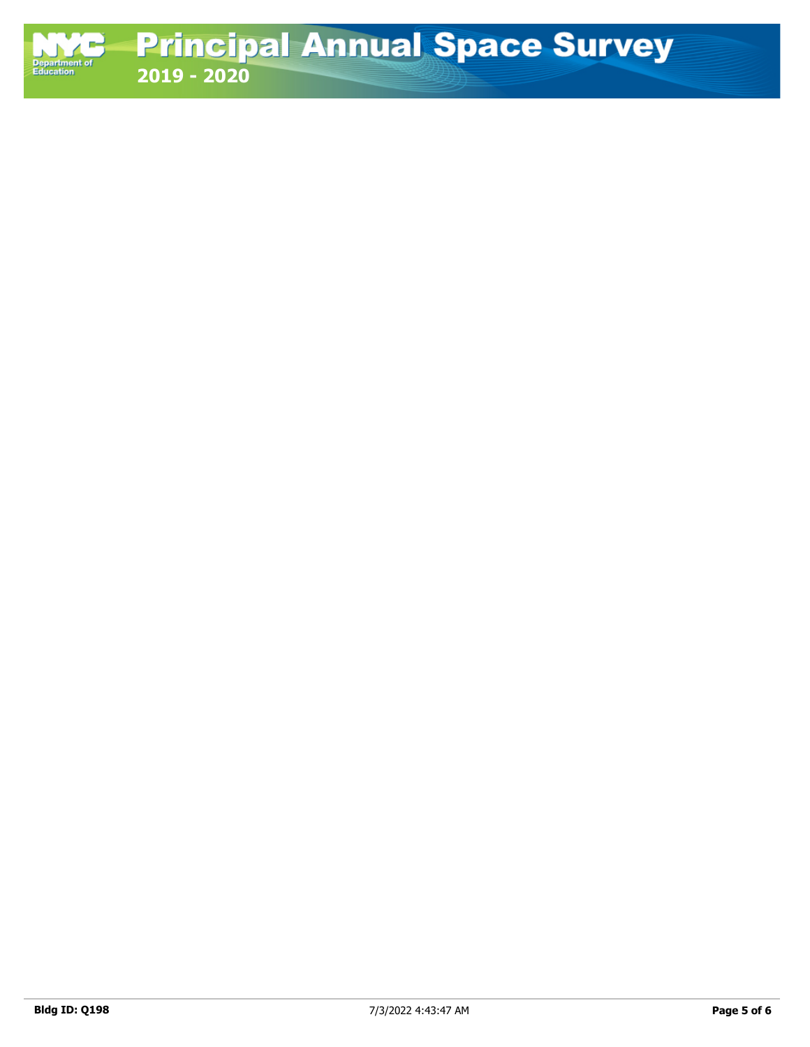